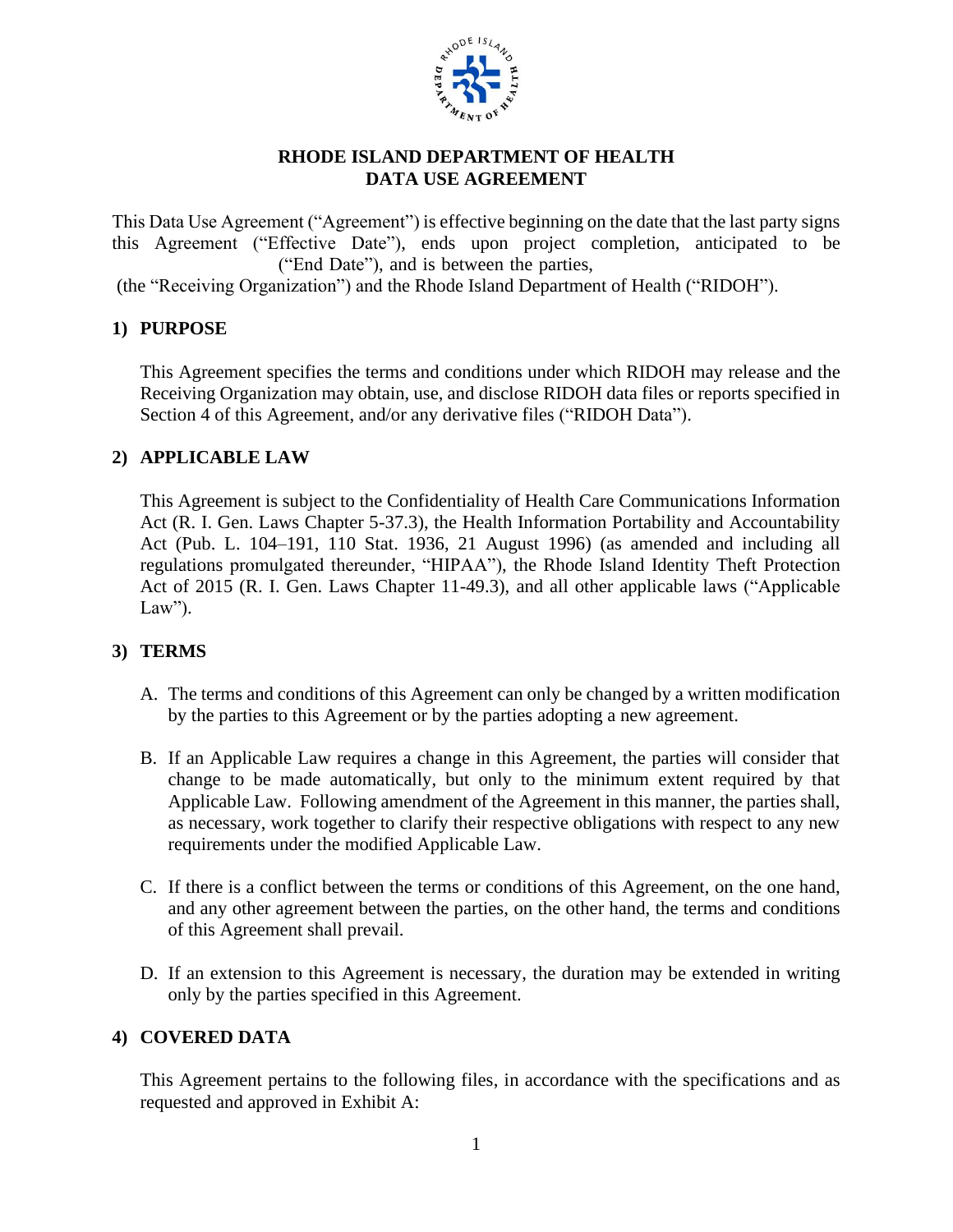

#### **RHODE ISLAND DEPARTMENT OF HEALTH DATA USE AGREEMENT**

This Data Use Agreement ("Agreement") is effective beginning on the date that the last party signs this Agreement ("Effective Date"), ends upon project completion, anticipated to be ("End Date"), and is between the parties,

(the "Receiving Organization") and the Rhode Island Department of Health ("RIDOH").

#### **1) PURPOSE**

This Agreement specifies the terms and conditions under which RIDOH may release and the Receiving Organization may obtain, use, and disclose RIDOH data files or reports specified in Section 4 of this Agreement, and/or any derivative files ("RIDOH Data").

#### **2) APPLICABLE LAW**

This Agreement is subject to the Confidentiality of Health Care Communications Information Act (R. I. Gen. Laws Chapter 5-37.3), the Health Information Portability and Accountability Act (Pub. L. 104–191, 110 Stat. 1936, 21 August 1996) (as amended and including all regulations promulgated thereunder, "HIPAA"), the Rhode Island Identity Theft Protection Act of 2015 (R. I. Gen. Laws Chapter 11-49.3), and all other applicable laws ("Applicable Law").

### **3) TERMS**

- A. The terms and conditions of this Agreement can only be changed by a written modification by the parties to this Agreement or by the parties adopting a new agreement.
- B. If an Applicable Law requires a change in this Agreement, the parties will consider that change to be made automatically, but only to the minimum extent required by that Applicable Law. Following amendment of the Agreement in this manner, the parties shall, as necessary, work together to clarify their respective obligations with respect to any new requirements under the modified Applicable Law.
- C. If there is a conflict between the terms or conditions of this Agreement, on the one hand, and any other agreement between the parties, on the other hand, the terms and conditions of this Agreement shall prevail.
- D. If an extension to this Agreement is necessary, the duration may be extended in writing only by the parties specified in this Agreement.

#### **4) COVERED DATA**

This Agreement pertains to the following files, in accordance with the specifications and as requested and approved in Exhibit A: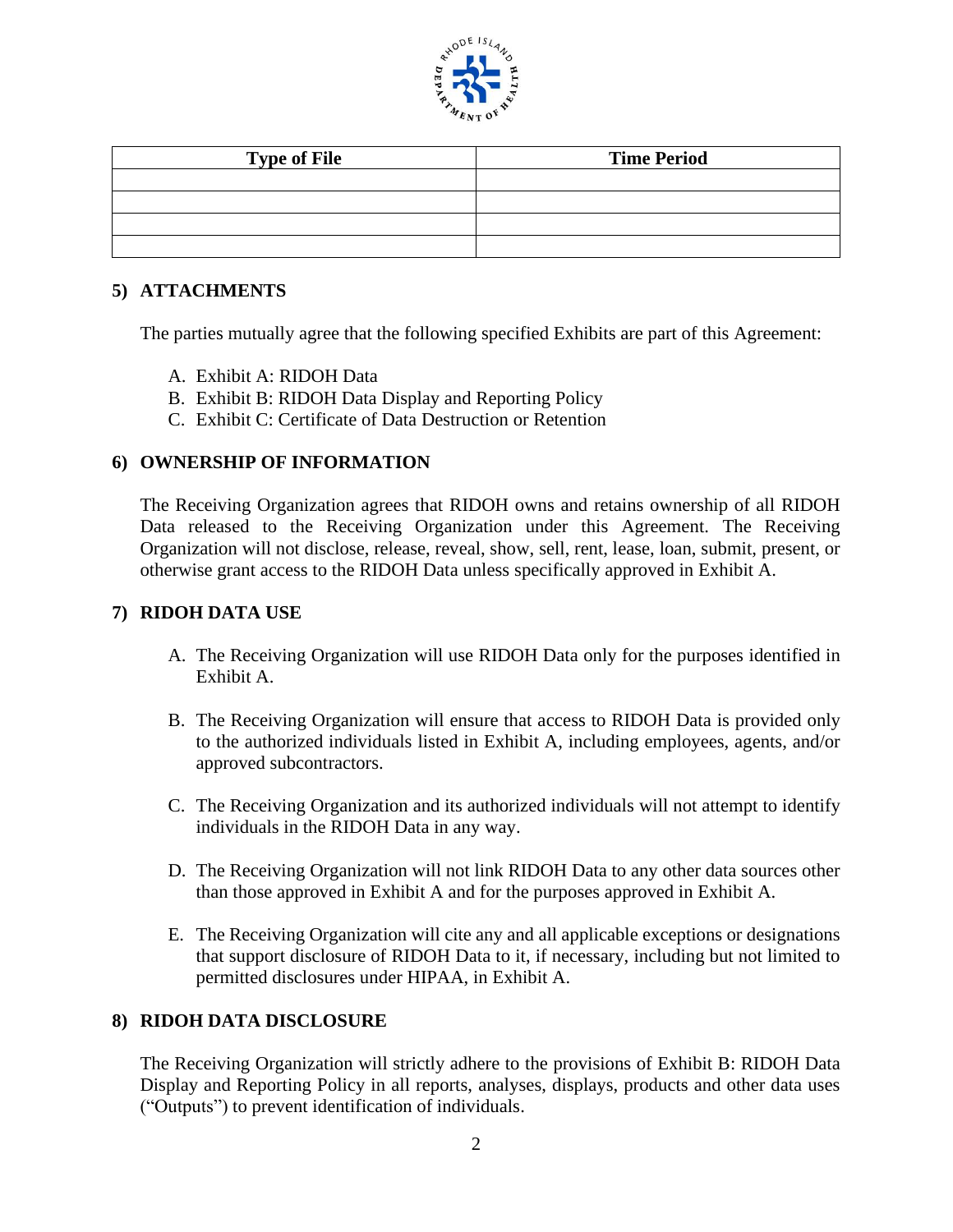

| <b>Type of File</b> | <b>Time Period</b> |
|---------------------|--------------------|
|                     |                    |
|                     |                    |
|                     |                    |
|                     |                    |

## **5) ATTACHMENTS**

The parties mutually agree that the following specified Exhibits are part of this Agreement:

- A. Exhibit A: RIDOH Data
- B. Exhibit B: RIDOH Data Display and Reporting Policy
- C. Exhibit C: Certificate of Data Destruction or Retention

#### **6) OWNERSHIP OF INFORMATION**

The Receiving Organization agrees that RIDOH owns and retains ownership of all RIDOH Data released to the Receiving Organization under this Agreement. The Receiving Organization will not disclose, release, reveal, show, sell, rent, lease, loan, submit, present, or otherwise grant access to the RIDOH Data unless specifically approved in Exhibit A.

#### **7) RIDOH DATA USE**

- A. The Receiving Organization will use RIDOH Data only for the purposes identified in Exhibit A.
- B. The Receiving Organization will ensure that access to RIDOH Data is provided only to the authorized individuals listed in Exhibit A, including employees, agents, and/or approved subcontractors.
- C. The Receiving Organization and its authorized individuals will not attempt to identify individuals in the RIDOH Data in any way.
- D. The Receiving Organization will not link RIDOH Data to any other data sources other than those approved in Exhibit A and for the purposes approved in Exhibit A.
- E. The Receiving Organization will cite any and all applicable exceptions or designations that support disclosure of RIDOH Data to it, if necessary, including but not limited to permitted disclosures under HIPAA, in Exhibit A.

### **8) RIDOH DATA DISCLOSURE**

The Receiving Organization will strictly adhere to the provisions of Exhibit B: RIDOH Data Display and Reporting Policy in all reports, analyses, displays, products and other data uses ("Outputs") to prevent identification of individuals.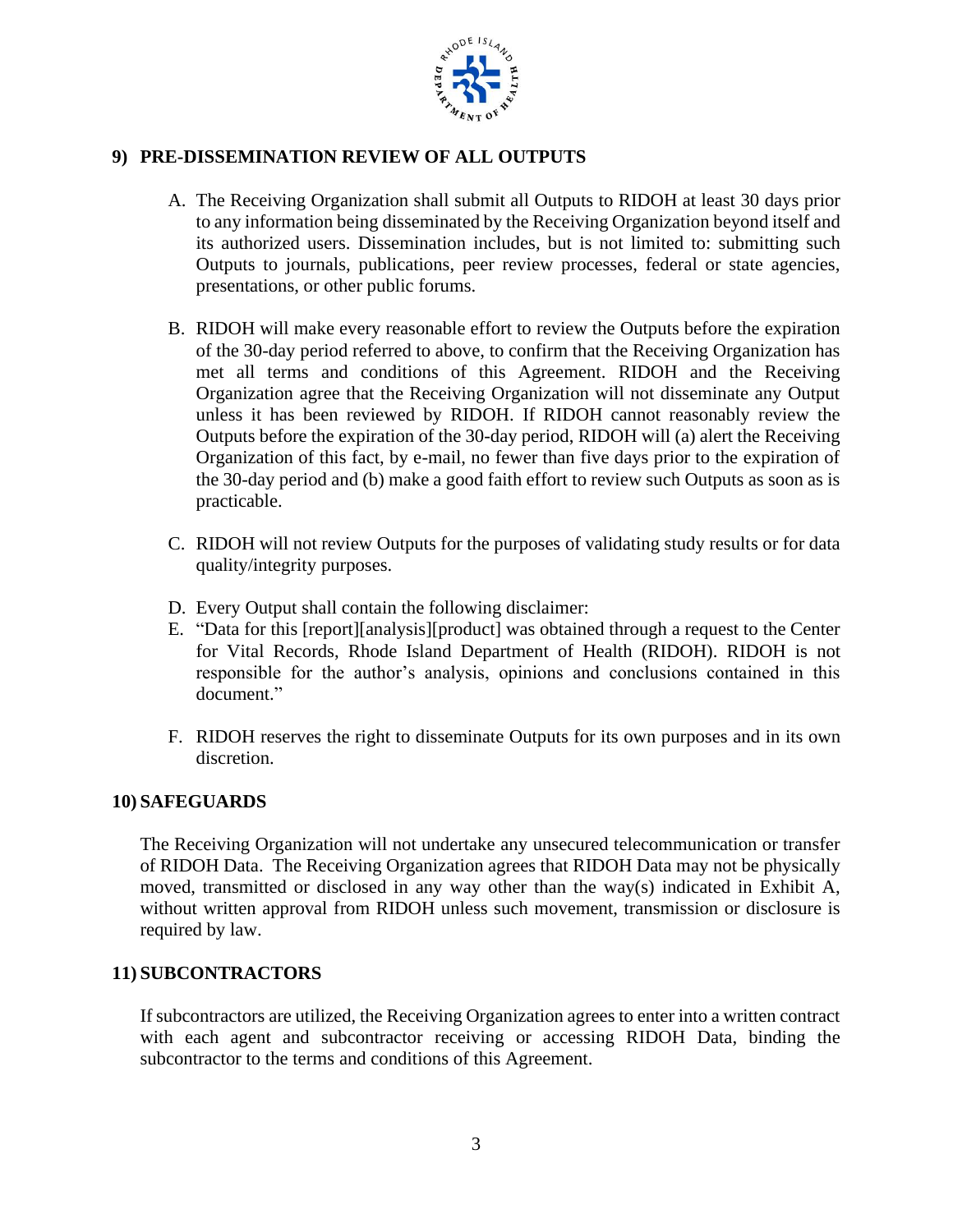

## **9) PRE-DISSEMINATION REVIEW OF ALL OUTPUTS**

- A. The Receiving Organization shall submit all Outputs to RIDOH at least 30 days prior to any information being disseminated by the Receiving Organization beyond itself and its authorized users. Dissemination includes, but is not limited to: submitting such Outputs to journals, publications, peer review processes, federal or state agencies, presentations, or other public forums.
- B. RIDOH will make every reasonable effort to review the Outputs before the expiration of the 30-day period referred to above, to confirm that the Receiving Organization has met all terms and conditions of this Agreement. RIDOH and the Receiving Organization agree that the Receiving Organization will not disseminate any Output unless it has been reviewed by RIDOH. If RIDOH cannot reasonably review the Outputs before the expiration of the 30-day period, RIDOH will (a) alert the Receiving Organization of this fact, by e-mail, no fewer than five days prior to the expiration of the 30-day period and (b) make a good faith effort to review such Outputs as soon as is practicable.
- C. RIDOH will not review Outputs for the purposes of validating study results or for data quality/integrity purposes.
- D. Every Output shall contain the following disclaimer:
- E. "Data for this [report][analysis][product] was obtained through a request to the Center for Vital Records, Rhode Island Department of Health (RIDOH). RIDOH is not responsible for the author's analysis, opinions and conclusions contained in this document."
- F. RIDOH reserves the right to disseminate Outputs for its own purposes and in its own discretion.

#### **10) SAFEGUARDS**

The Receiving Organization will not undertake any unsecured telecommunication or transfer of RIDOH Data. The Receiving Organization agrees that RIDOH Data may not be physically moved, transmitted or disclosed in any way other than the way(s) indicated in Exhibit A, without written approval from RIDOH unless such movement, transmission or disclosure is required by law.

#### **11) SUBCONTRACTORS**

If subcontractors are utilized, the Receiving Organization agrees to enter into a written contract with each agent and subcontractor receiving or accessing RIDOH Data, binding the subcontractor to the terms and conditions of this Agreement.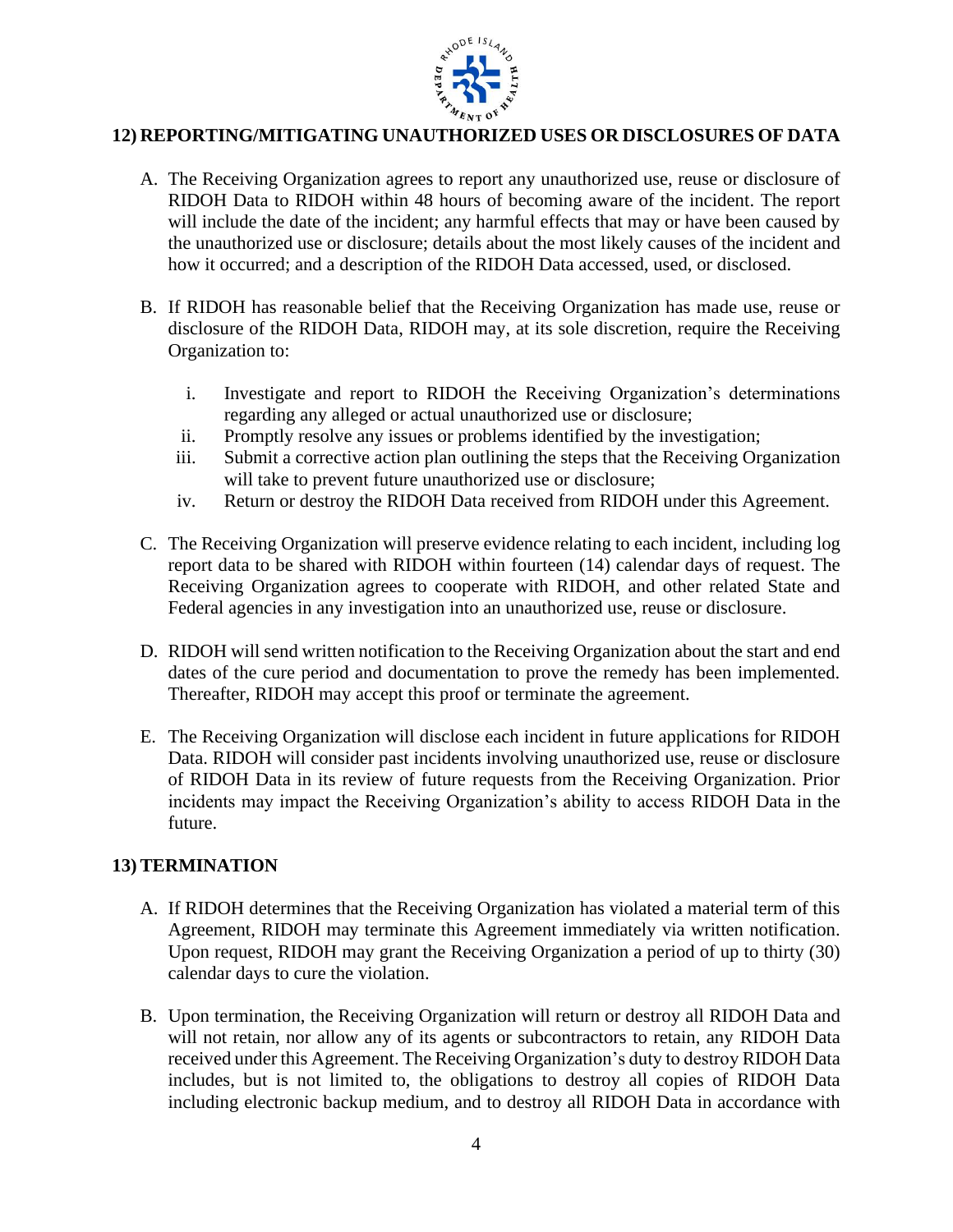

## **12) REPORTING/MITIGATING UNAUTHORIZED USES OR DISCLOSURES OF DATA**

- A. The Receiving Organization agrees to report any unauthorized use, reuse or disclosure of RIDOH Data to RIDOH within 48 hours of becoming aware of the incident. The report will include the date of the incident; any harmful effects that may or have been caused by the unauthorized use or disclosure; details about the most likely causes of the incident and how it occurred; and a description of the RIDOH Data accessed, used, or disclosed.
- B. If RIDOH has reasonable belief that the Receiving Organization has made use, reuse or disclosure of the RIDOH Data, RIDOH may, at its sole discretion, require the Receiving Organization to:
	- i. Investigate and report to RIDOH the Receiving Organization's determinations regarding any alleged or actual unauthorized use or disclosure;
	- ii. Promptly resolve any issues or problems identified by the investigation;
	- iii. Submit a corrective action plan outlining the steps that the Receiving Organization will take to prevent future unauthorized use or disclosure;
	- iv. Return or destroy the RIDOH Data received from RIDOH under this Agreement.
- C. The Receiving Organization will preserve evidence relating to each incident, including log report data to be shared with RIDOH within fourteen (14) calendar days of request. The Receiving Organization agrees to cooperate with RIDOH, and other related State and Federal agencies in any investigation into an unauthorized use, reuse or disclosure.
- D. RIDOH will send written notification to the Receiving Organization about the start and end dates of the cure period and documentation to prove the remedy has been implemented. Thereafter, RIDOH may accept this proof or terminate the agreement.
- E. The Receiving Organization will disclose each incident in future applications for RIDOH Data. RIDOH will consider past incidents involving unauthorized use, reuse or disclosure of RIDOH Data in its review of future requests from the Receiving Organization. Prior incidents may impact the Receiving Organization's ability to access RIDOH Data in the future.

### **13) TERMINATION**

- A. If RIDOH determines that the Receiving Organization has violated a material term of this Agreement, RIDOH may terminate this Agreement immediately via written notification. Upon request, RIDOH may grant the Receiving Organization a period of up to thirty (30) calendar days to cure the violation.
- B. Upon termination, the Receiving Organization will return or destroy all RIDOH Data and will not retain, nor allow any of its agents or subcontractors to retain, any RIDOH Data received under this Agreement. The Receiving Organization's duty to destroy RIDOH Data includes, but is not limited to, the obligations to destroy all copies of RIDOH Data including electronic backup medium, and to destroy all RIDOH Data in accordance with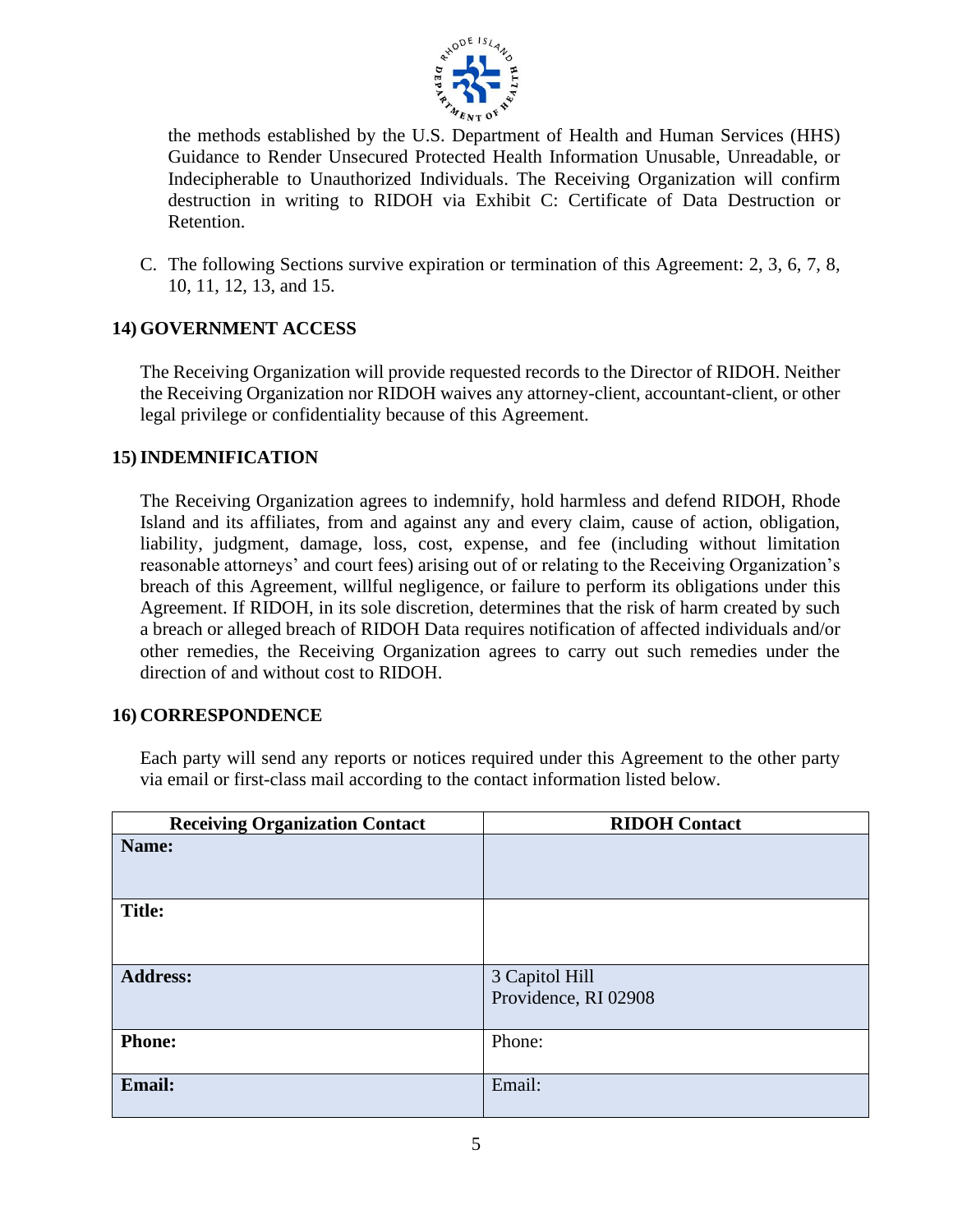

the methods established by the U.S. Department of Health and Human Services (HHS) Guidance to Render Unsecured Protected Health Information Unusable, Unreadable, or Indecipherable to Unauthorized Individuals. The Receiving Organization will confirm destruction in writing to RIDOH via Exhibit C: Certificate of Data Destruction or Retention.

C. The following Sections survive expiration or termination of this Agreement: 2, 3, 6, 7, 8, 10, 11, 12, 13, and 15.

## **14) GOVERNMENT ACCESS**

The Receiving Organization will provide requested records to the Director of RIDOH. Neither the Receiving Organization nor RIDOH waives any attorney-client, accountant-client, or other legal privilege or confidentiality because of this Agreement.

### **15)INDEMNIFICATION**

The Receiving Organization agrees to indemnify, hold harmless and defend RIDOH, Rhode Island and its affiliates, from and against any and every claim, cause of action, obligation, liability, judgment, damage, loss, cost, expense, and fee (including without limitation reasonable attorneys' and court fees) arising out of or relating to the Receiving Organization's breach of this Agreement, willful negligence, or failure to perform its obligations under this Agreement. If RIDOH, in its sole discretion, determines that the risk of harm created by such a breach or alleged breach of RIDOH Data requires notification of affected individuals and/or other remedies, the Receiving Organization agrees to carry out such remedies under the direction of and without cost to RIDOH.

#### **16) CORRESPONDENCE**

Each party will send any reports or notices required under this Agreement to the other party via email or first-class mail according to the contact information listed below.

| <b>Receiving Organization Contact</b> | <b>RIDOH Contact</b>                   |
|---------------------------------------|----------------------------------------|
| Name:                                 |                                        |
| <b>Title:</b>                         |                                        |
| <b>Address:</b>                       | 3 Capitol Hill<br>Providence, RI 02908 |
| <b>Phone:</b>                         | Phone:                                 |
| Email:                                | Email:                                 |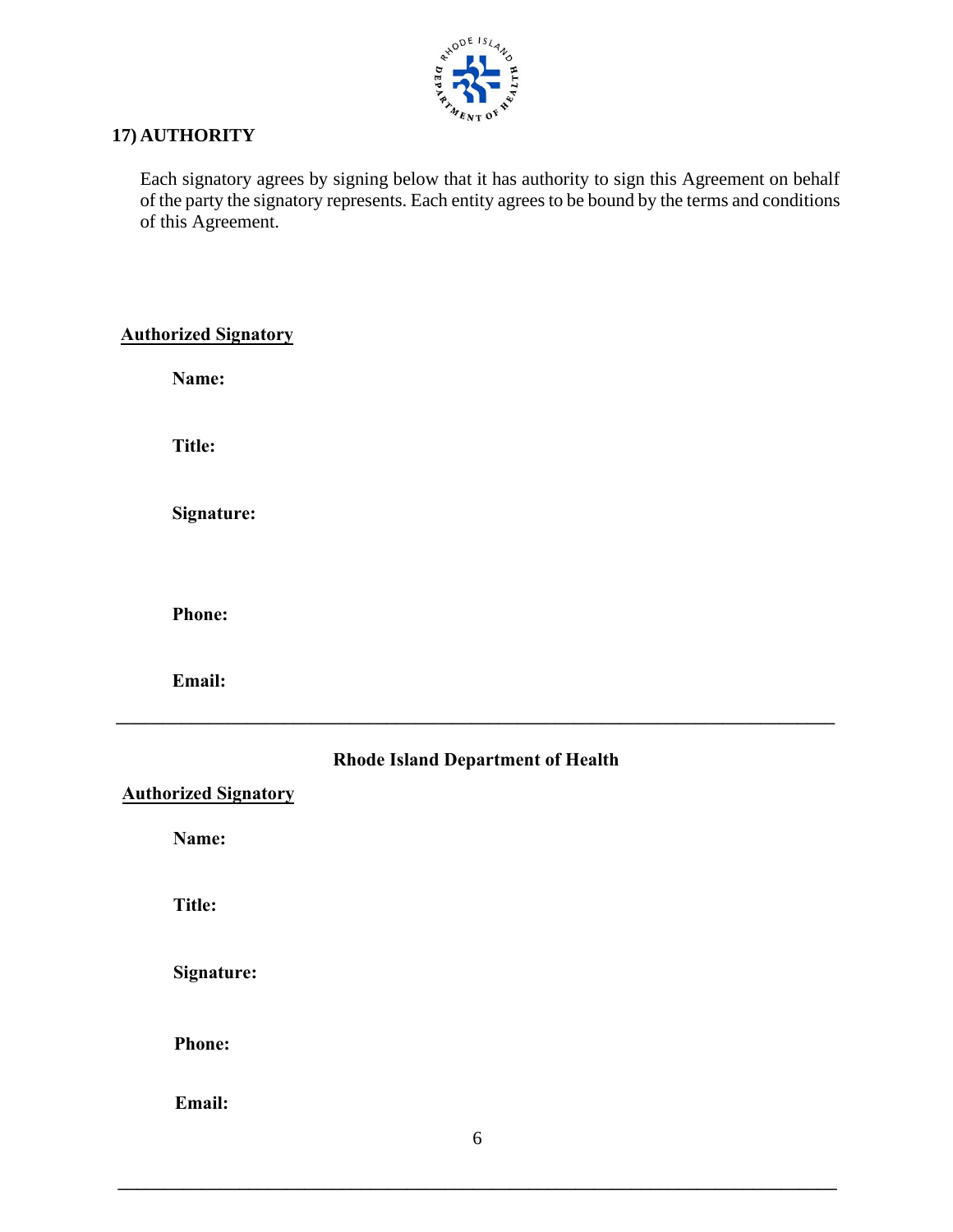

## **17) AUTHORITY**

Each signatory agrees by signing below that it has authority to sign this Agreement on behalf of the party the signatory represents. Each entity agrees to be bound by the terms and conditions of this Agreement.

## **Authorized Signatory**

**Name:**

**Title:**

**Signature:**

**Phone:** 

**Email:** 

# **Rhode Island Department of Health**

**\_\_\_\_\_\_\_\_\_\_\_\_\_\_\_\_\_\_\_\_\_\_\_\_\_\_\_\_\_\_\_\_\_\_\_\_\_\_\_\_\_\_\_\_\_\_\_\_\_\_\_\_\_\_\_\_\_\_\_\_\_\_\_\_\_\_\_\_\_\_\_\_\_\_\_\_\_**

**Authorized Signatory**

**Name:**

**Title:**

**Signature:**

**Phone:** 

**Email:** 

**\_\_\_\_\_\_\_\_\_\_\_\_\_\_\_\_\_\_\_\_\_\_\_\_\_\_\_\_\_\_\_\_\_\_\_\_\_\_\_\_\_\_\_\_\_\_\_\_\_\_\_\_\_\_\_\_\_\_\_\_\_\_\_\_\_\_\_\_\_\_\_\_\_\_\_\_\_**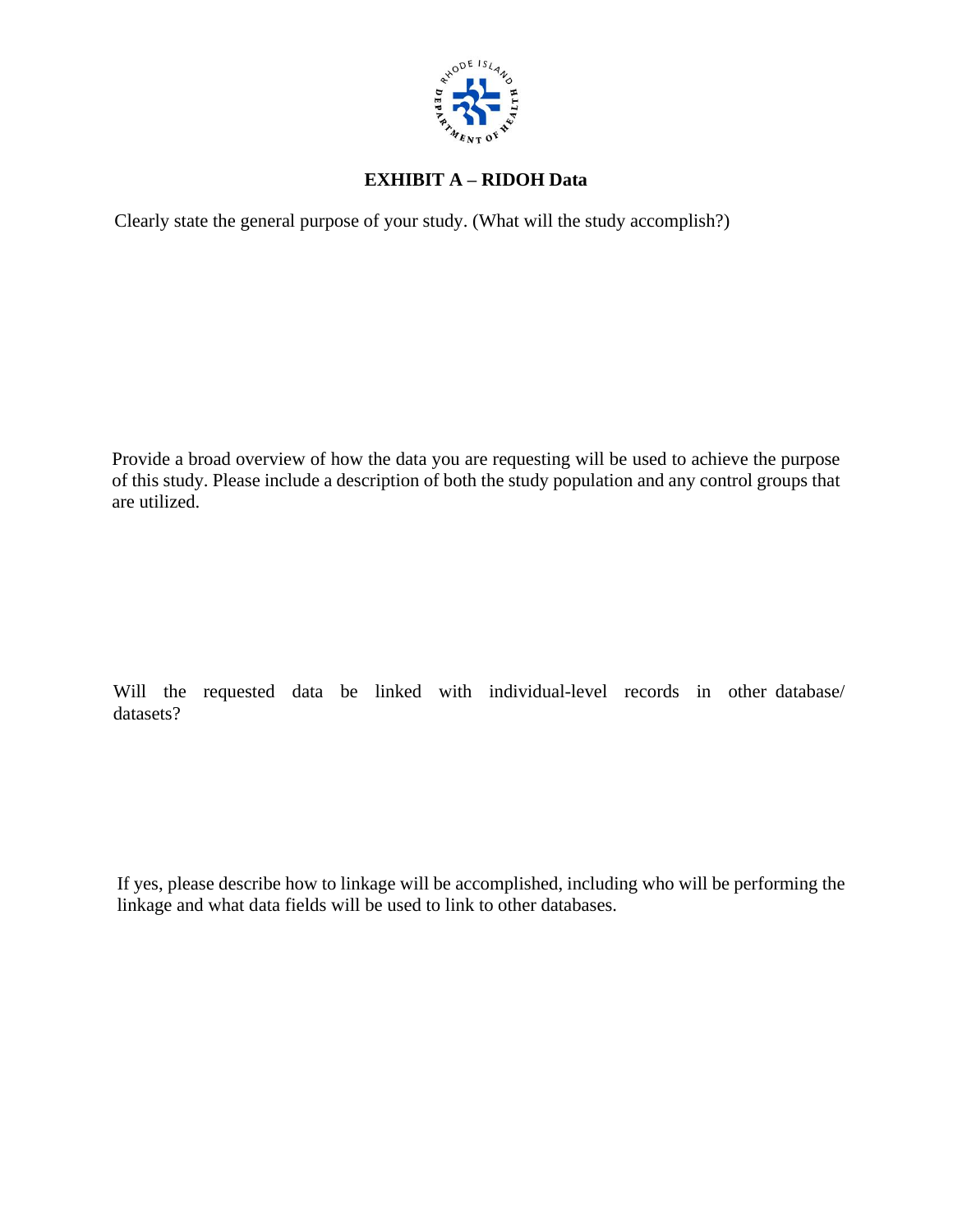

# **EXHIBIT A – RIDOH Data**

Clearly state the general purpose of your study. (What will the study accomplish?)

Provide a broad overview of how the data you are requesting will be used to achieve the purpose of this study. Please include a description of both the study population and any control groups that are utilized.

Will the requested data be linked with individual-level records in other database/ datasets?

If yes, please describe how to linkage will be accomplished, including who will be performing the linkage and what data fields will be used to link to other databases.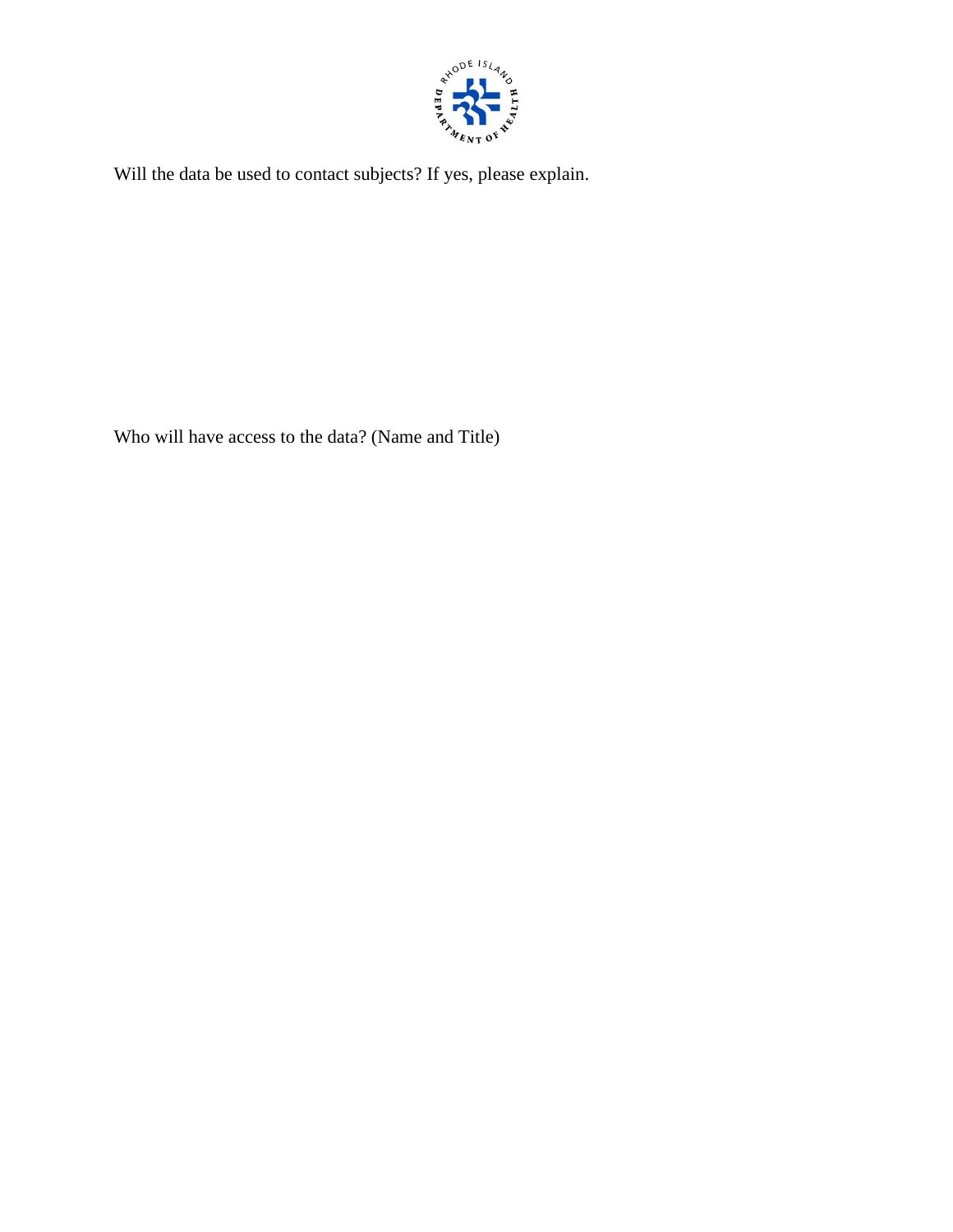

Will the data be used to contact subjects? If yes, please explain.

Who will have access to the data? (Name and Title)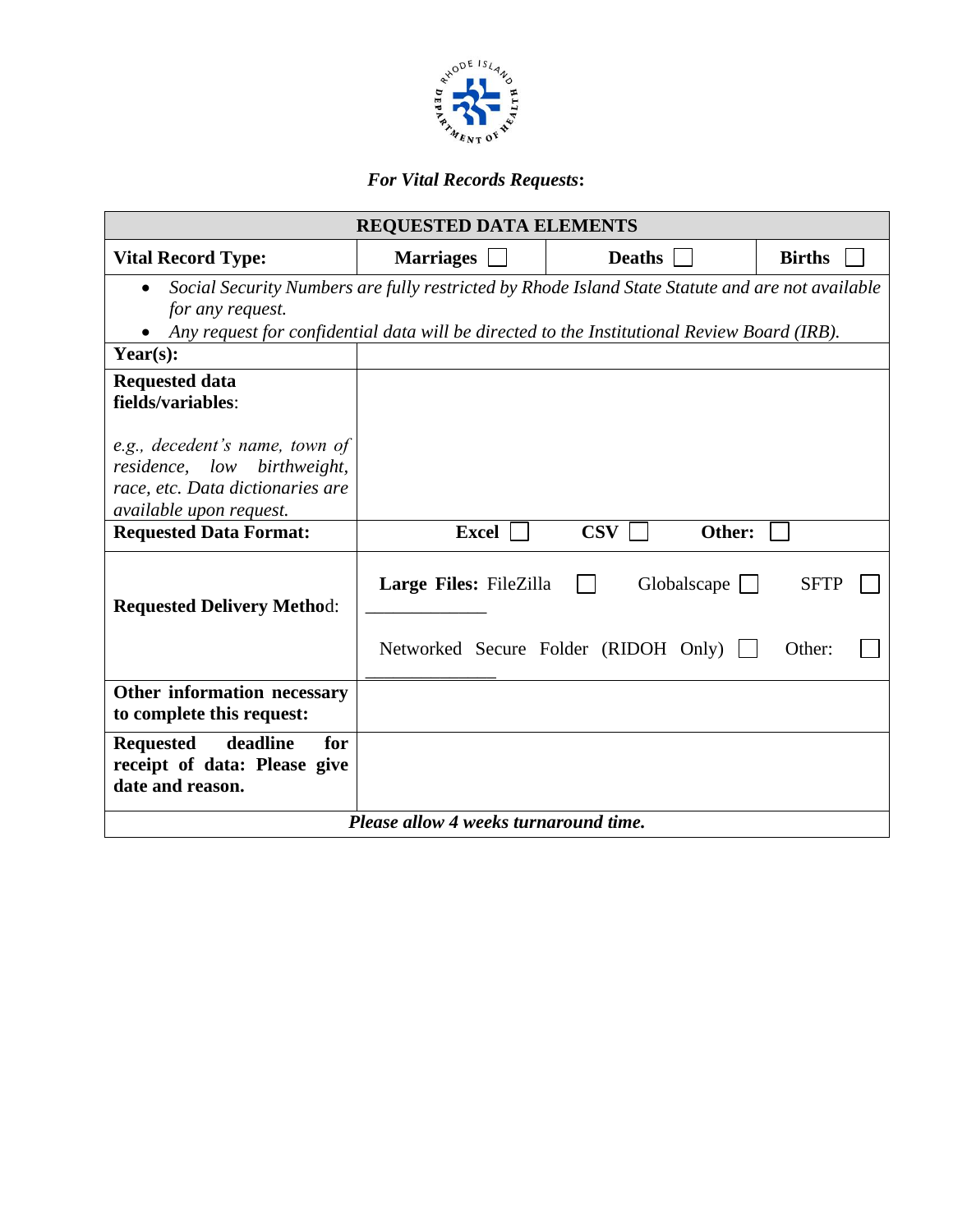

# *For Vital Records Requests***:**

| <b>REQUESTED DATA ELEMENTS</b>                                                                                                                                                                                      |                                       |               |             |               |  |
|---------------------------------------------------------------------------------------------------------------------------------------------------------------------------------------------------------------------|---------------------------------------|---------------|-------------|---------------|--|
| <b>Vital Record Type:</b>                                                                                                                                                                                           | <b>Marriages</b>                      | <b>Deaths</b> |             | <b>Births</b> |  |
| Social Security Numbers are fully restricted by Rhode Island State Statute and are not available<br>for any request.<br>Any request for confidential data will be directed to the Institutional Review Board (IRB). |                                       |               |             |               |  |
| Year $(s)$ :                                                                                                                                                                                                        |                                       |               |             |               |  |
| <b>Requested data</b><br>fields/variables:                                                                                                                                                                          |                                       |               |             |               |  |
| e.g., decedent's name, town of<br>residence, low birthweight,<br>race, etc. Data dictionaries are<br><i>available upon request.</i>                                                                                 |                                       |               |             |               |  |
| <b>Requested Data Format:</b>                                                                                                                                                                                       | <b>Excel</b>                          | <b>CSV</b>    | Other:      |               |  |
| <b>Requested Delivery Method:</b>                                                                                                                                                                                   | Large Files: FileZilla                |               | Globalscape | <b>SFTP</b>   |  |
|                                                                                                                                                                                                                     | Networked Secure Folder (RIDOH Only)  |               |             | Other:        |  |
| Other information necessary<br>to complete this request:                                                                                                                                                            |                                       |               |             |               |  |
| deadline<br><b>Requested</b><br>for<br>receipt of data: Please give<br>date and reason.                                                                                                                             |                                       |               |             |               |  |
|                                                                                                                                                                                                                     | Please allow 4 weeks turnaround time. |               |             |               |  |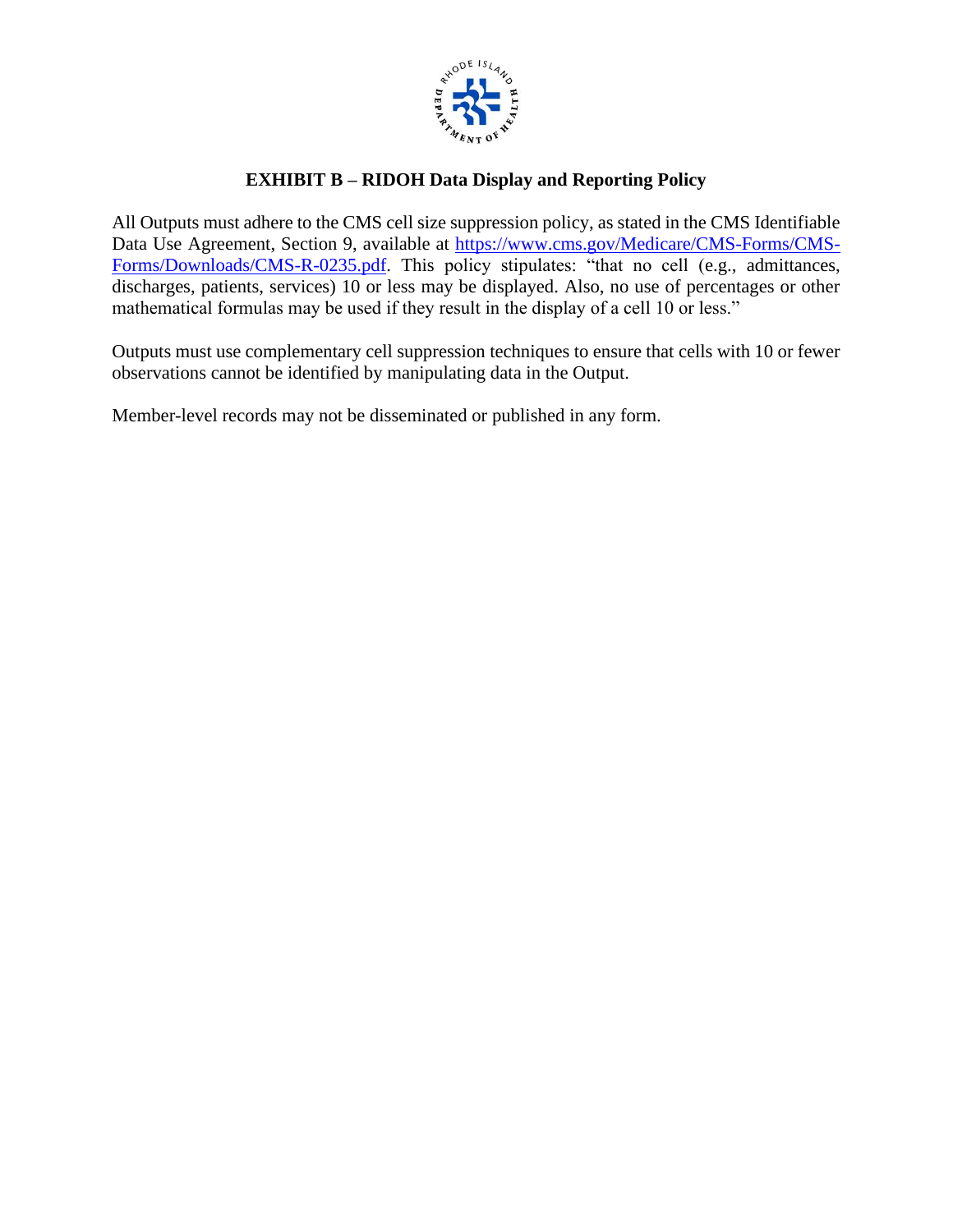

# **EXHIBIT B – RIDOH Data Display and Reporting Policy**

All Outputs must adhere to the CMS cell size suppression policy, as stated in the CMS Identifiable Data Use Agreement, Section 9, available at [https://www.cms.gov/Medicare/CMS-Forms/CMS-](https://www.cms.gov/Medicare/CMS-Forms/CMS-Forms/Downloads/CMS-R-0235.pdf)[Forms/Downloads/CMS-R-0235.pdf.](https://www.cms.gov/Medicare/CMS-Forms/CMS-Forms/Downloads/CMS-R-0235.pdf) This policy stipulates: "that no cell (e.g., admittances, discharges, patients, services) 10 or less may be displayed. Also, no use of percentages or other mathematical formulas may be used if they result in the display of a cell 10 or less."

Outputs must use complementary cell suppression techniques to ensure that cells with 10 or fewer observations cannot be identified by manipulating data in the Output.

Member-level records may not be disseminated or published in any form.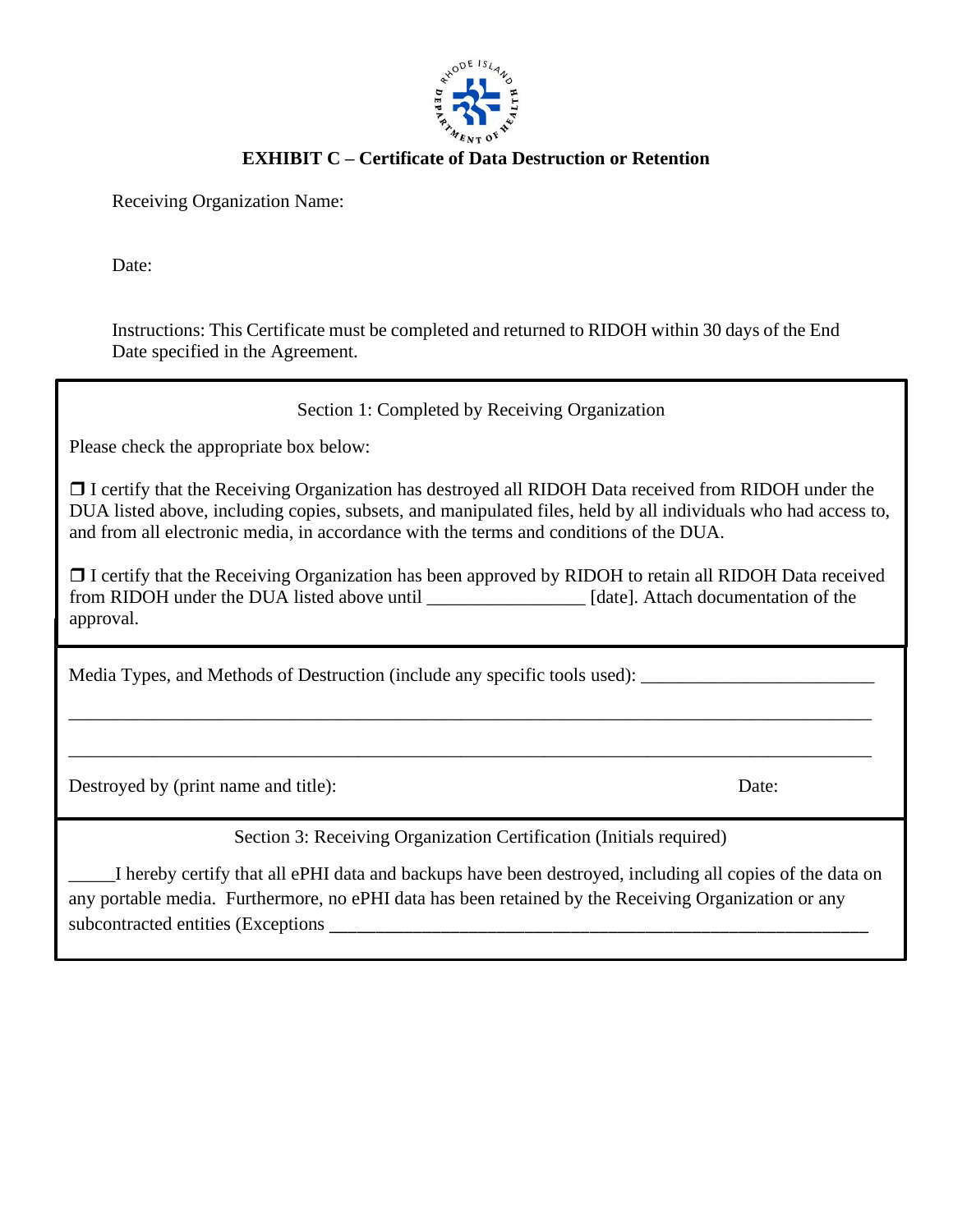

# **EXHIBIT C – Certificate of Data Destruction or Retention**

Receiving Organization Name:

Date:

Instructions: This Certificate must be completed and returned to RIDOH within 30 days of the End Date specified in the Agreement.

Section 1: Completed by Receiving Organization

Please check the appropriate box below:

 $\Box$  I certify that the Receiving Organization has destroyed all RIDOH Data received from RIDOH under the DUA listed above, including copies, subsets, and manipulated files, held by all individuals who had access to,  $B$ OR issee above, meraling copies, subsets, and mampulated rifes, neta by an individually who had according and from all electronic media, in accordance with the terms and conditions of the DUA.

 $S_{\rm eff}$  ,  $S_{\rm eff}$  and  $S_{\rm eff}$  are ceiving  $C_{\rm eff}$  and  $C_{\rm eff}$  are ceiving  $C_{\rm eff}$ □ I certify that the Receiving Organization has been approved by RIDOH to retain all RIDOH Data received umy ma<br>dinoh s from RIDOH under the DUA listed above until \_\_\_\_\_\_\_\_\_\_\_\_\_\_\_\_\_\_\_\_ [date]. Attach documentation of the approval.

\_\_\_\_\_\_\_\_\_\_\_\_\_\_\_\_\_\_\_\_\_\_\_\_\_\_\_\_\_\_\_\_\_\_\_\_\_\_\_\_\_\_\_\_\_\_\_\_\_\_\_\_\_\_\_\_\_\_\_\_\_\_\_\_\_\_\_\_\_\_\_\_\_\_\_\_\_\_\_\_\_\_\_\_\_\_

\_\_\_\_\_\_\_\_\_\_\_\_\_\_\_\_\_\_\_\_\_\_\_\_\_\_\_\_\_\_\_\_\_\_\_\_\_\_\_\_\_\_\_\_\_\_\_\_\_\_\_\_\_\_\_\_\_\_\_\_\_\_\_\_\_\_\_\_\_\_\_\_\_\_\_\_\_\_\_\_\_\_\_\_\_\_

Media Types, and Methods of Destruction (include any specific tools used): \_\_\_\_\_\_\_\_\_\_\_\_

Destroyed by (print name and title): Date:

Section 3: Receiving Organization Certification (Initials required)

\_\_\_\_\_I hereby certify that all ePHI data and backups have been destroyed, including all copies of the data on any portable media. Furthermore, no ePHI data has been retained by the Receiving Organization or any subcontracted entities (Exceptions